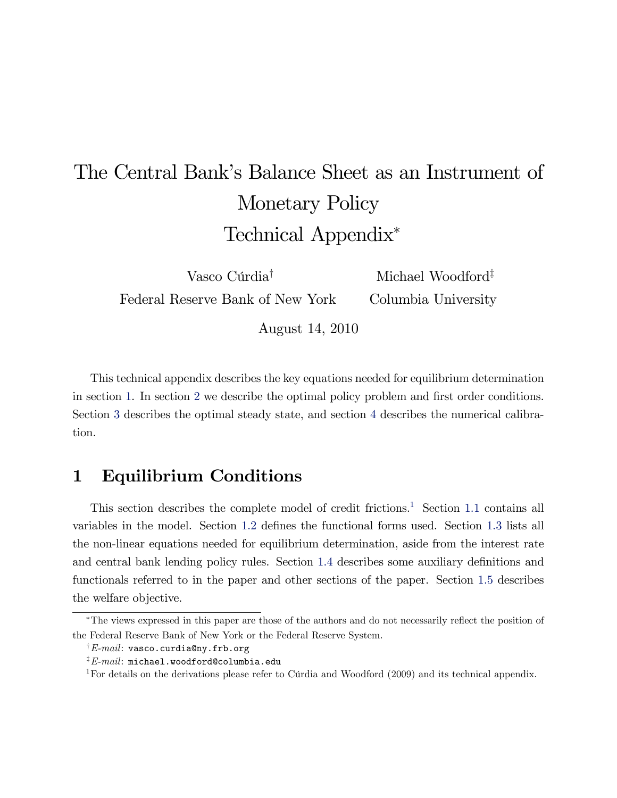# <span id="page-0-1"></span>The Central Bank's Balance Sheet as an Instrument of Monetary Policy Technical Appendix

Vasco Cúrdia<sup>†</sup> Federal Reserve Bank of New York Michael Woodford<sup> $\ddagger$ </sup> Columbia University

August 14, 2010

This technical appendix describes the key equations needed for equilibrium determination in section [1.](#page-0-0) In section [2](#page-7-0) we describe the optimal policy problem and first order conditions. Section [3](#page-12-0) describes the optimal steady state, and section [4](#page-15-0) describes the numerical calibration.

# <span id="page-0-0"></span>1 Equilibrium Conditions

This section describes the complete model of credit frictions.<sup>1</sup> Section [1.1](#page-1-0) contains all variables in the model. Section [1.2](#page-3-0) defines the functional forms used. Section [1.3](#page-3-1) lists all the non-linear equations needed for equilibrium determination, aside from the interest rate and central bank lending policy rules. Section [1.4](#page-4-0) describes some auxiliary definitions and functionals referred to in the paper and other sections of the paper. Section [1.5](#page-6-0) describes the welfare objective.

<sup>&</sup>lt;sup>\*</sup>The views expressed in this paper are those of the authors and do not necessarily reflect the position of the Federal Reserve Bank of New York or the Federal Reserve System.

 $\dagger$ E-mail: vasco.curdia@ny.frb.org

 $E$ -mail: michael.woodford@columbia.edu

<sup>&</sup>lt;sup>1</sup>For details on the derivations please refer to Cúrdia and Woodford  $(2009)$  and its technical appendix.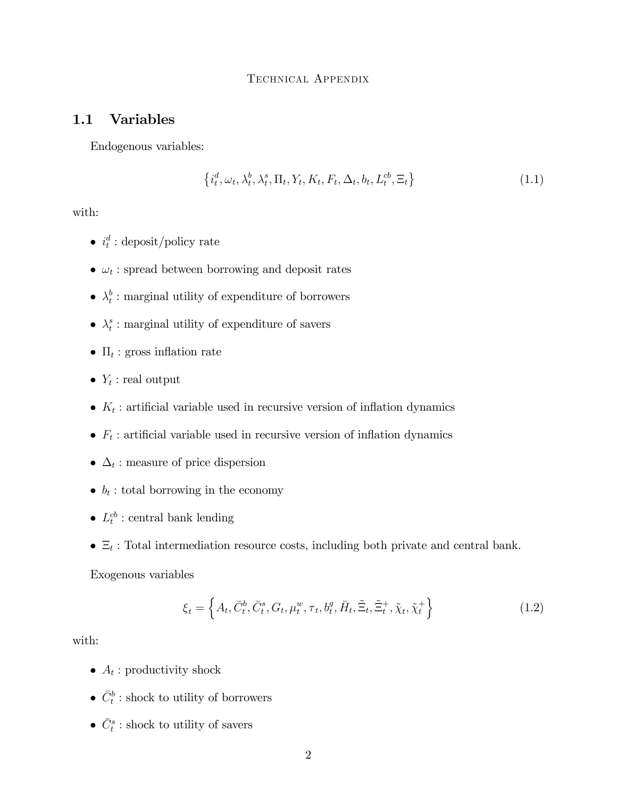### <span id="page-1-0"></span>1.1 Variables

Endogenous variables:

<span id="page-1-1"></span>
$$
\left\{i_t^d, \omega_t, \lambda_t^b, \lambda_t^s, \Pi_t, Y_t, K_t, F_t, \Delta_t, b_t, L_t^{cb}, \Xi_t\right\}
$$
\n(1.1)

with:

- $i_t^d$ : deposit/policy rate
- $\omega_t$ : spread between borrowing and deposit rates
- $\bullet$   $\lambda_t^b$  $t<sub>t</sub><sup>b</sup>$ : marginal utility of expenditure of borrowers
- $\bullet$   $\lambda_t^s$  $t_i^s$ : marginal utility of expenditure of savers
- $\Pi_t$ : gross inflation rate
- $Y_t$ : real output
- $K_t$ : artificial variable used in recursive version of inflation dynamics
- $F_t$ : artificial variable used in recursive version of inflation dynamics
- $\Delta_t$ : measure of price dispersion
- $\bullet$   $b_t$ : total borrowing in the economy
- $L_t^{cb}$ : central bank lending
- $\bullet$   $\Xi_t$ : Total intermediation resource costs, including both private and central bank.

Exogenous variables

$$
\xi_t = \left\{ A_t, \bar{C}_t^b, \bar{C}_t^s, G_t, \mu_t^w, \tau_t, b_t^g, \bar{H}_t, \tilde{\Xi}_t, \tilde{\Xi}_t^+, \tilde{\chi}_t, \tilde{\chi}_t^+ \right\} \tag{1.2}
$$

with:

- $A_t$ : productivity shock
- $\bar{C}_t^b$ : shock to utility of borrowers
- $\bar{C}_t^s$ : shock to utility of savers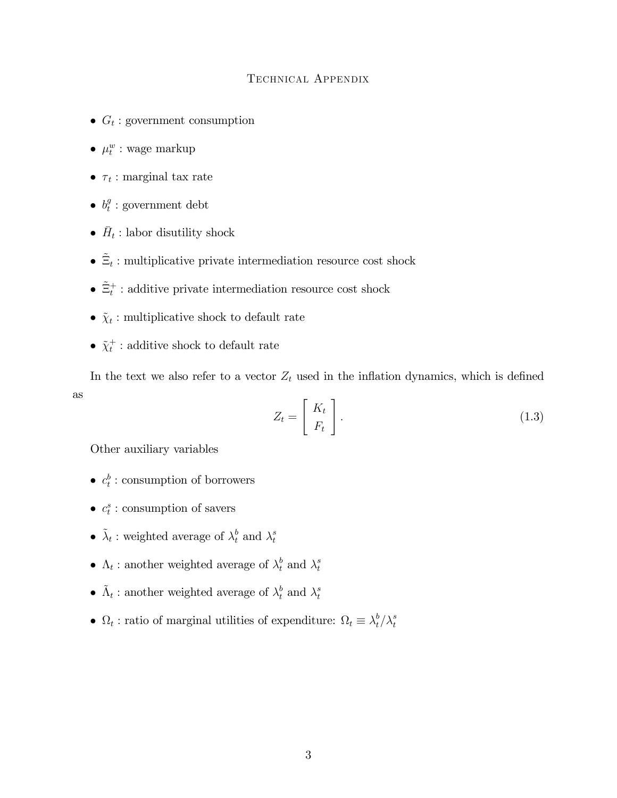- $G_t$ : government consumption
- $\mu_t^w$  : wage markup
- $\tau_t$ : marginal tax rate
- $\bullet$   $b_t^g$  $t_i^g$ : government debt
- $\bar{H}_t$ : labor disutility shock
- $\bullet$   $\tilde{\Xi}_t$  : multiplicative private intermediation resource cost shock
- $\tilde{\Xi}_t^+$ : additive private intermediation resource cost shock
- $\tilde{\chi}_t$ : multiplicative shock to default rate
- $\tilde{\chi}^+_t$ : additive shock to default rate

In the text we also refer to a vector  $Z_t$  used in the inflation dynamics, which is defined as

$$
Z_t = \left[ \begin{array}{c} K_t \\ F_t \end{array} \right]. \tag{1.3}
$$

Other auxiliary variables

- $c_t^b$ : consumption of borrowers
- $c_t^s$ : consumption of savers
- $\tilde{\lambda}_t$  : weighted average of  $\lambda_t^b$  and  $\lambda_t^s$ t
- $\Lambda_t$ : another weighted average of  $\lambda_t^b$  and  $\lambda_t^s$ t
- $\tilde{\Lambda}_t$ : another weighted average of  $\lambda_t^b$  and  $\lambda_t^s$ t
- $\Omega_t$ : ratio of marginal utilities of expenditure:  $\Omega_t \equiv \lambda_t^b$  $t^b/\lambda_t^s$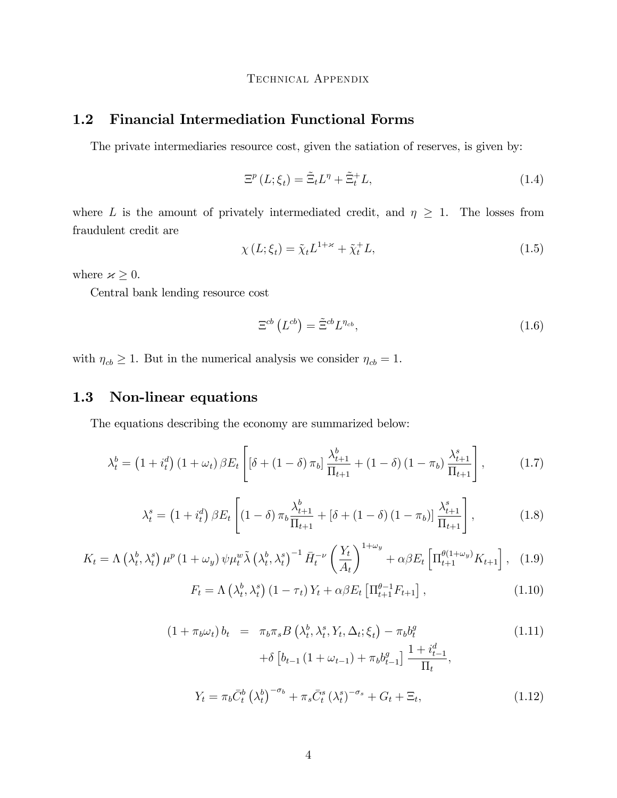### <span id="page-3-0"></span>1.2 Financial Intermediation Functional Forms

The private intermediaries resource cost, given the satiation of reserves, is given by:

$$
\Xi^p(L;\xi_t) = \tilde{\Xi}_t L^{\eta} + \tilde{\Xi}_t^+ L,\tag{1.4}
$$

where L is the amount of privately intermediated credit, and  $\eta \geq 1$ . The losses from fraudulent credit are

$$
\chi(L; \xi_t) = \tilde{\chi}_t L^{1+\varkappa} + \tilde{\chi}_t^+ L,\tag{1.5}
$$

where  $\varkappa\geq 0.$ 

Central bank lending resource cost

$$
\Xi^{cb}\left(L^{cb}\right) = \tilde{\Xi}^{cb}L^{\eta_{cb}},\tag{1.6}
$$

with  $\eta_{cb} \geq 1$ . But in the numerical analysis we consider  $\eta_{cb} = 1$ .

### <span id="page-3-1"></span>1.3 Non-linear equations

The equations describing the economy are summarized below:

<span id="page-3-6"></span>
$$
\lambda_t^b = \left(1 + i_t^d\right)\left(1 + \omega_t\right)\beta E_t \left[\left[\delta + \left(1 - \delta\right)\pi_b\right]\frac{\lambda_{t+1}^b}{\Pi_{t+1}} + \left(1 - \delta\right)\left(1 - \pi_b\right)\frac{\lambda_{t+1}^s}{\Pi_{t+1}}\right],\tag{1.7}
$$

$$
\lambda_t^s = (1 + i_t^d) \beta E_t \left[ (1 - \delta) \pi_b \frac{\lambda_{t+1}^b}{\Pi_{t+1}} + [\delta + (1 - \delta) (1 - \pi_b)] \frac{\lambda_{t+1}^s}{\Pi_{t+1}} \right],
$$
(1.8)

<span id="page-3-2"></span>
$$
K_t = \Lambda \left(\lambda_t^b, \lambda_t^s\right) \mu^p \left(1 + \omega_y\right) \psi \mu_t^w \tilde{\lambda} \left(\lambda_t^b, \lambda_t^s\right)^{-1} \bar{H}_t^{-\nu} \left(\frac{Y_t}{A_t}\right)^{1+\omega_y} + \alpha \beta E_t \left[\Pi_{t+1}^{\theta(1+\omega_y)} K_{t+1}\right], \tag{1.9}
$$

<span id="page-3-3"></span>
$$
F_t = \Lambda\left(\lambda_t^b, \lambda_t^s\right) \left(1 - \tau_t\right) Y_t + \alpha \beta E_t \left[\Pi_{t+1}^{\theta-1} F_{t+1}\right],\tag{1.10}
$$

<span id="page-3-5"></span><span id="page-3-4"></span>
$$
(1 + \pi_b \omega_t) b_t = \pi_b \pi_s B\left(\lambda_t^b, \lambda_t^s, Y_t, \Delta_t; \xi_t\right) - \pi_b b_t^g
$$
\n
$$
+ \delta \left[b_{t-1} \left(1 + \omega_{t-1}\right) + \pi_b b_{t-1}^g\right] \frac{1 + i_{t-1}^d}{\Pi_t},
$$
\n
$$
Y_t = \pi_b \bar{C}_t^b \left(\lambda_t^b\right)^{-\sigma_b} + \pi_s \bar{C}_t^s \left(\lambda_t^s\right)^{-\sigma_s} + G_t + \Xi_t,
$$
\n
$$
(1.12)
$$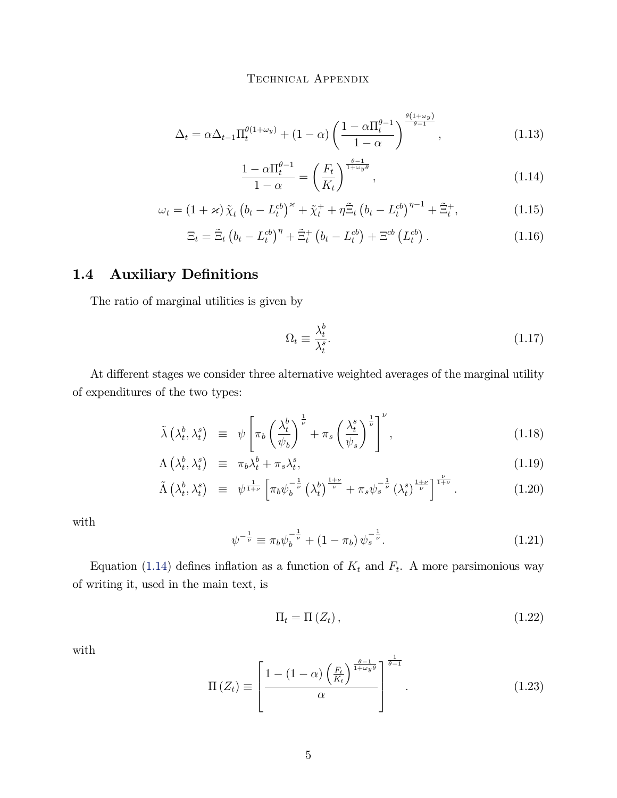<span id="page-4-2"></span>
$$
\Delta_t = \alpha \Delta_{t-1} \Pi_t^{\theta(1+\omega_y)} + (1-\alpha) \left( \frac{1 - \alpha \Pi_t^{\theta-1}}{1-\alpha} \right)^{\frac{\theta(1+\omega_y)}{\theta-1}}, \qquad (1.13)
$$

<span id="page-4-1"></span>
$$
\frac{1 - \alpha \Pi_t^{\theta - 1}}{1 - \alpha} = \left(\frac{F_t}{K_t}\right)^{\frac{\theta - 1}{1 + \omega_y \theta}},\tag{1.14}
$$

<span id="page-4-5"></span>
$$
\omega_t = \left(1 + \varkappa\right) \tilde{\chi}_t \left(b_t - L_t^{cb}\right)^{\varkappa} + \tilde{\chi}_t^+ + \eta \tilde{\Xi}_t \left(b_t - L_t^{cb}\right)^{\eta - 1} + \tilde{\Xi}_t^+, \tag{1.15}
$$

<span id="page-4-4"></span>
$$
\Xi_t = \tilde{\Xi}_t \left( b_t - L_t^{cb} \right)^{\eta} + \tilde{\Xi}_t^+ \left( b_t - L_t^{cb} \right) + \Xi^{cb} \left( L_t^{cb} \right). \tag{1.16}
$$

### <span id="page-4-0"></span>1.4 Auxiliary Definitions

The ratio of marginal utilities is given by

<span id="page-4-3"></span>
$$
\Omega_t \equiv \frac{\lambda_t^b}{\lambda_t^s}.\tag{1.17}
$$

At different stages we consider three alternative weighted averages of the marginal utility of expenditures of the two types:

$$
\tilde{\lambda}\left(\lambda_t^b, \lambda_t^s\right) \equiv \psi \left[ \pi_b \left( \frac{\lambda_t^b}{\psi_b} \right)^{\frac{1}{\nu}} + \pi_s \left( \frac{\lambda_t^s}{\psi_s} \right)^{\frac{1}{\nu}} \right]^\nu, \tag{1.18}
$$

$$
\Lambda\left(\lambda_t^b,\lambda_t^s\right) \equiv \pi_b\lambda_t^b + \pi_s\lambda_t^s, \tag{1.19}
$$

$$
\tilde{\Lambda}\left(\lambda_t^b,\lambda_t^s\right) \equiv \psi^{\frac{1}{1+\nu}}\left[\pi_b\psi_b^{-\frac{1}{\nu}}\left(\lambda_t^b\right)^{\frac{1+\nu}{\nu}} + \pi_s\psi_s^{-\frac{1}{\nu}}\left(\lambda_t^s\right)^{\frac{1+\nu}{\nu}}\right]^{\frac{\nu}{1+\nu}}.\tag{1.20}
$$

with

<span id="page-4-6"></span>
$$
\psi^{-\frac{1}{\nu}} \equiv \pi_b \psi_b^{-\frac{1}{\nu}} + (1 - \pi_b) \psi_s^{-\frac{1}{\nu}}.
$$
\n(1.21)

Equation [\(1.14\)](#page-4-1) defines inflation as a function of  $K_t$  and  $F_t$ . A more parsimonious way of writing it, used in the main text, is

$$
\Pi_t = \Pi\left(Z_t\right),\tag{1.22}
$$

with

$$
\Pi\left(Z_t\right) \equiv \left[\frac{1 - \left(1 - \alpha\right) \left(\frac{F_t}{K_t}\right)^{\frac{\theta - 1}{1 + \omega_y \theta}}}{\alpha}\right]^{\frac{1}{\theta - 1}}.\tag{1.23}
$$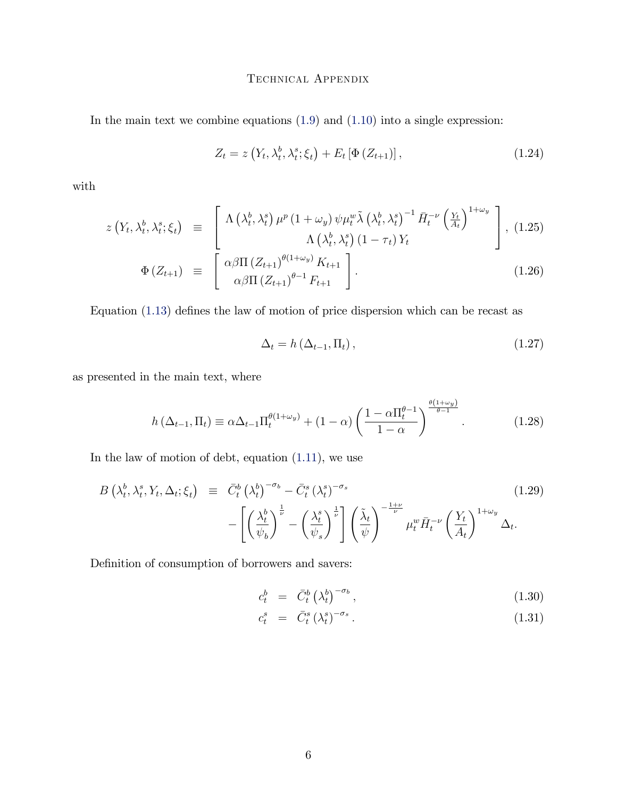In the main text we combine equations  $(1.9)$  and  $(1.10)$  into a single expression:

$$
Z_t = z\left(Y_t, \lambda_t^b, \lambda_t^s; \xi_t\right) + E_t\left[\Phi\left(Z_{t+1}\right)\right],\tag{1.24}
$$

with

$$
z\left(Y_t, \lambda_t^b, \lambda_t^s; \xi_t\right) \equiv \left[\begin{array}{c} \Lambda\left(\lambda_t^b, \lambda_t^s\right) \mu^p \left(1 + \omega_y\right) \psi \mu_t^w \tilde{\lambda} \left(\lambda_t^b, \lambda_t^s\right)^{-1} \bar{H}_t^{-\nu} \left(\frac{Y_t}{A_t}\right)^{1+\omega_y} \\ \Lambda\left(\lambda_t^b, \lambda_t^s\right) \left(1 - \tau_t\right) Y_t \end{array}\right], \tag{1.25}
$$

$$
\Phi\left(Z_{t+1}\right) \equiv \left[\begin{array}{c} \alpha \beta \Pi \left(Z_{t+1}\right)^{\theta(1+\omega_y)} K_{t+1} \\ \alpha \beta \Pi \left(Z_{t+1}\right)^{\theta-1} F_{t+1} \end{array}\right]. \tag{1.26}
$$

Equation  $(1.13)$  defines the law of motion of price dispersion which can be recast as

$$
\Delta_t = h\left(\Delta_{t-1}, \Pi_t\right),\tag{1.27}
$$

as presented in the main text, where

$$
h\left(\Delta_{t-1}, \Pi_t\right) \equiv \alpha \Delta_{t-1} \Pi_t^{\theta(1+\omega_y)} + (1-\alpha) \left(\frac{1-\alpha \Pi_t^{\theta-1}}{1-\alpha}\right)^{\frac{\theta(1+\omega_y)}{\theta-1}}.\tag{1.28}
$$

In the law of motion of debt, equation [\(1.11\)](#page-3-4), we use

$$
B\left(\lambda_t^b, \lambda_t^s, Y_t, \Delta_t; \xi_t\right) \equiv \bar{C}_t^b \left(\lambda_t^b\right)^{-\sigma_b} - \bar{C}_t^s \left(\lambda_t^s\right)^{-\sigma_s} - \left[\left(\frac{\lambda_t^b}{\psi_b}\right)^{\frac{1}{\nu}} - \left(\frac{\lambda_t^s}{\psi_s}\right)^{\frac{1}{\nu}}\right] \left(\frac{\tilde{\lambda}_t}{\psi}\right)^{-\frac{1+\nu}{\nu}} \mu_t^w \bar{H}_t^{-\nu} \left(\frac{Y_t}{A_t}\right)^{1+\omega_y} \Delta_t.
$$
\n(1.29)

Definition of consumption of borrowers and savers:

$$
c_t^b = \bar{C}_t^b \left(\lambda_t^b\right)^{-\sigma_b}, \tag{1.30}
$$

<span id="page-5-0"></span>
$$
c_t^s = \bar{C}_t^s \left(\lambda_t^s\right)^{-\sigma_s}.\tag{1.31}
$$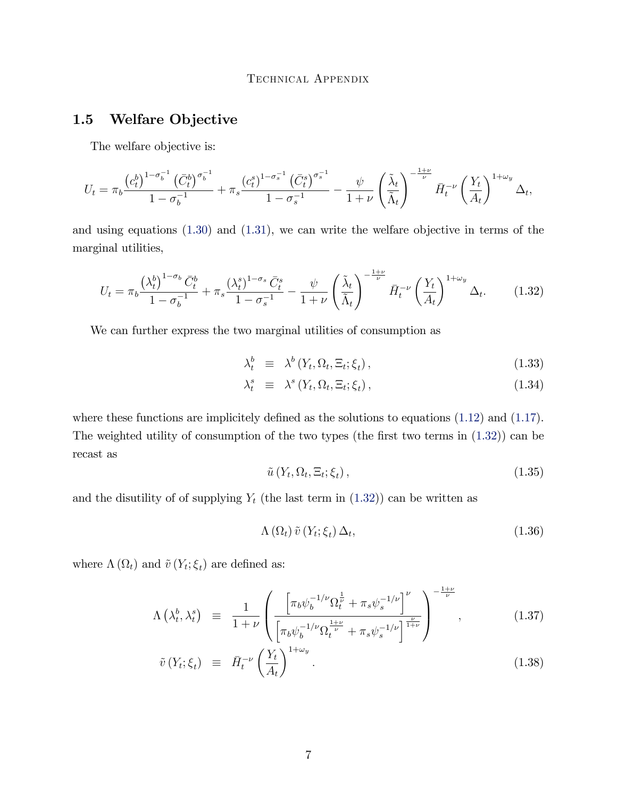# <span id="page-6-0"></span>1.5 Welfare Objective

The welfare objective is:

$$
U_t = \pi_b \frac{\left(c_t^b\right)^{1-\sigma_b^{-1}} \left(\bar{C}_t^b\right)^{\sigma_b^{-1}}}{1-\sigma_b^{-1}} + \pi_s \frac{\left(c_t^s\right)^{1-\sigma_s^{-1}} \left(\bar{C}_t^s\right)^{\sigma_s^{-1}}}{1-\sigma_s^{-1}} - \frac{\psi}{1+\nu} \left(\frac{\tilde{\lambda}_t}{\tilde{\Lambda}_t}\right)^{-\frac{1+\nu}{\nu}} \bar{H}_t^{-\nu} \left(\frac{Y_t}{A_t}\right)^{1+\omega_y} \Delta_t,
$$

and using equations [\(1.30\)](#page-5-0) and [\(1.31\)](#page-5-0), we can write the welfare objective in terms of the marginal utilities,

<span id="page-6-1"></span>
$$
U_t = \pi_b \frac{\left(\lambda_t^b\right)^{1-\sigma_b} \bar{C}_t^b}{1-\sigma_b^{-1}} + \pi_s \frac{\left(\lambda_t^s\right)^{1-\sigma_s} \bar{C}_t^s}{1-\sigma_s^{-1}} - \frac{\psi}{1+\nu} \left(\frac{\tilde{\lambda}_t}{\tilde{\Lambda}_t}\right)^{-\frac{1+\nu}{\nu}} \bar{H}_t^{-\nu} \left(\frac{Y_t}{A_t}\right)^{1+\omega_y} \Delta_t. \tag{1.32}
$$

We can further express the two marginal utilities of consumption as

$$
\lambda_t^b \equiv \lambda^b \left( Y_t, \Omega_t, \Xi_t; \xi_t \right), \tag{1.33}
$$

$$
\lambda_t^s \equiv \lambda^s \left( Y_t, \Omega_t, \Xi_t; \xi_t \right), \tag{1.34}
$$

where these functions are implicitely defined as the solutions to equations  $(1.12)$  and  $(1.17)$ . The weighted utility of consumption of the two types (the first two terms in  $(1.32)$ ) can be recast as

$$
\tilde{u}\left(Y_t, \Omega_t, \Xi_t; \xi_t\right),\tag{1.35}
$$

and the disutility of of supplying  $Y_t$  (the last term in  $(1.32)$ ) can be written as

$$
\Lambda\left(\Omega_{t}\right)\tilde{v}\left(Y_{t};\xi_{t}\right)\Delta_{t},\tag{1.36}
$$

where  $\Lambda(\Omega_t)$  and  $\tilde{v}(Y_t; \xi_t)$  are defined as:

$$
\Lambda\left(\lambda_t^b, \lambda_t^s\right) \equiv \frac{1}{1+\nu} \left( \frac{\left[ \pi_b \psi_b^{-1/\nu} \Omega_t^{\frac{1}{\nu}} + \pi_s \psi_s^{-1/\nu} \right]^\nu}{\left[ \pi_b \psi_b^{-1/\nu} \Omega_t^{\frac{1+\nu}{\nu}} + \pi_s \psi_s^{-1/\nu} \right]^{\frac{\nu}{1+\nu}} } \right)^{-\frac{1+\nu}{\nu}}, \tag{1.37}
$$

$$
\tilde{v}\left(Y_t;\xi_t\right) \equiv \bar{H}_t^{-\nu} \left(\frac{Y_t}{A_t}\right)^{1+\omega_y}.\tag{1.38}
$$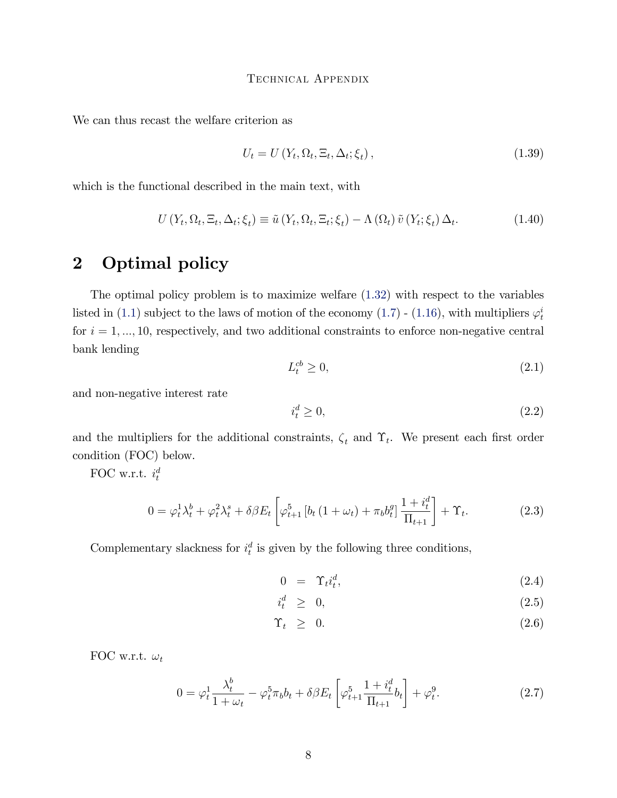We can thus recast the welfare criterion as

$$
U_t = U\left(Y_t, \Omega_t, \Xi_t, \Delta_t; \xi_t\right),\tag{1.39}
$$

which is the functional described in the main text, with

$$
U(Y_t, \Omega_t, \Xi_t, \Delta_t; \xi_t) \equiv \tilde{u}(Y_t, \Omega_t, \Xi_t; \xi_t) - \Lambda(\Omega_t) \tilde{v}(Y_t; \xi_t) \Delta_t.
$$
 (1.40)

# <span id="page-7-0"></span>2 Optimal policy

The optimal policy problem is to maximize welfare [\(1.32\)](#page-6-1) with respect to the variables listed in [\(1.1\)](#page-1-1) subject to the laws of motion of the economy [\(1.7\)](#page-3-6) - [\(1.16\)](#page-4-4), with multipliers  $\varphi_t^i$ for  $i = 1, ..., 10$ , respectively, and two additional constraints to enforce non-negative central bank lending

$$
L_t^{cb} \ge 0,\tag{2.1}
$$

and non-negative interest rate

$$
i_t^d \ge 0,\tag{2.2}
$$

and the multipliers for the additional constraints,  $\zeta_t$  and  $\Upsilon_t$ . We present each first order condition (FOC) below.

FOC w.r.t.  $i_t^d$ 

$$
0 = \varphi_t^1 \lambda_t^b + \varphi_t^2 \lambda_t^s + \delta \beta E_t \left[ \varphi_{t+1}^5 \left[ b_t \left( 1 + \omega_t \right) + \pi_b b_t^g \right] \frac{1 + i_t^d}{\Pi_{t+1}} \right] + \Upsilon_t.
$$
 (2.3)

Complementary slackness for  $i_t^d$  is given by the following three conditions,

$$
0 = \Upsilon_t i_t^d, \tag{2.4}
$$

$$
i_t^d \geq 0,\t\t(2.5)
$$

$$
\Upsilon_t \geq 0. \tag{2.6}
$$

FOC w.r.t.  $\omega_t$ 

$$
0 = \varphi_t^1 \frac{\lambda_t^b}{1 + \omega_t} - \varphi_t^5 \pi_b b_t + \delta \beta E_t \left[ \varphi_{t+1}^5 \frac{1 + i_t^d}{\Pi_{t+1}} b_t \right] + \varphi_t^9.
$$
 (2.7)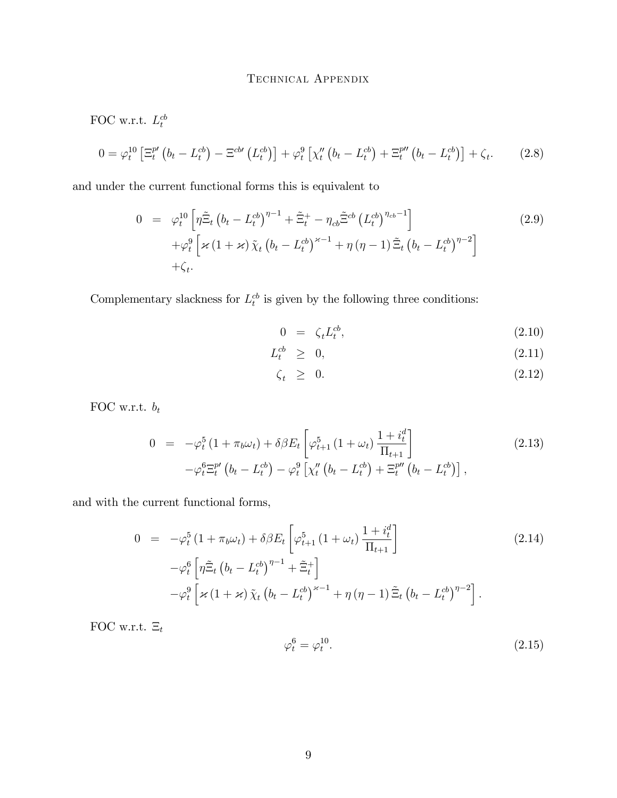<span id="page-8-0"></span>FOC w.r.t.  $L_t^{cb}$  $0 = \varphi_t^{10} \left[ \Xi_t^{p \prime} \left( b_t - L_t^{cb} \right) - \Xi^{cb \prime} \left( L_t^{cb} \right) \right] + \varphi_t^{9} \left[ \chi_t'' \left( b_t - L_t^{cb} \right) + \Xi_t^{p \prime \prime} \left( b_t - L_t^{cb} \right) \right] + \zeta_t$  $(2.8)$ 

and under the current functional forms this is equivalent to

$$
0 = \varphi_t^{10} \left[ \eta \tilde{\Xi}_t \left( b_t - L_t^{cb} \right)^{\eta - 1} + \tilde{\Xi}_t^+ - \eta_{cb} \tilde{\Xi}^{cb} \left( L_t^{cb} \right)^{\eta_{cb} - 1} \right] + \varphi_t^9 \left[ \varkappa \left( 1 + \varkappa \right) \tilde{\chi}_t \left( b_t - L_t^{cb} \right)^{\varkappa - 1} + \eta \left( \eta - 1 \right) \tilde{\Xi}_t \left( b_t - L_t^{cb} \right)^{\eta - 2} \right] + \zeta_t.
$$
 (2.9)

Complementary slackness for  $L_t^{cb}$  is given by the following three conditions:

$$
0 = \zeta_t L_t^{cb}, \qquad (2.10)
$$

$$
L_t^{cb} \geq 0,\tag{2.11}
$$

$$
\zeta_t \geq 0. \tag{2.12}
$$

FOC w.r.t.  $\boldsymbol{b}_t$ 

$$
0 = -\varphi_t^5 (1 + \pi_b \omega_t) + \delta \beta E_t \left[ \varphi_{t+1}^5 (1 + \omega_t) \frac{1 + i_t^d}{\Pi_{t+1}} \right] -\varphi_t^6 \Xi_t^{p\prime} (b_t - L_t^{cb}) - \varphi_t^9 \left[ \chi_t^{\prime\prime} (b_t - L_t^{cb}) + \Xi_t^{p\prime\prime} (b_t - L_t^{cb}) \right],
$$
\n(2.13)

and with the current functional forms,

$$
0 = -\varphi_t^5 (1 + \pi_b \omega_t) + \delta \beta E_t \left[ \varphi_{t+1}^5 (1 + \omega_t) \frac{1 + i_t^d}{\Pi_{t+1}} \right]
$$
\n
$$
-\varphi_t^6 \left[ \eta \tilde{\Xi}_t \left( b_t - L_t^{cb} \right)^{\eta - 1} + \tilde{\Xi}_t^+ \right]
$$
\n
$$
-\varphi_t^9 \left[ \varkappa (1 + \varkappa) \tilde{\chi}_t \left( b_t - L_t^{cb} \right)^{\varkappa - 1} + \eta (\eta - 1) \tilde{\Xi}_t \left( b_t - L_t^{cb} \right)^{\eta - 2} \right].
$$
\n(2.14)

FOC w.r.t.  $\Xi_t$ 

$$
\varphi_t^6 = \varphi_t^{10}.\tag{2.15}
$$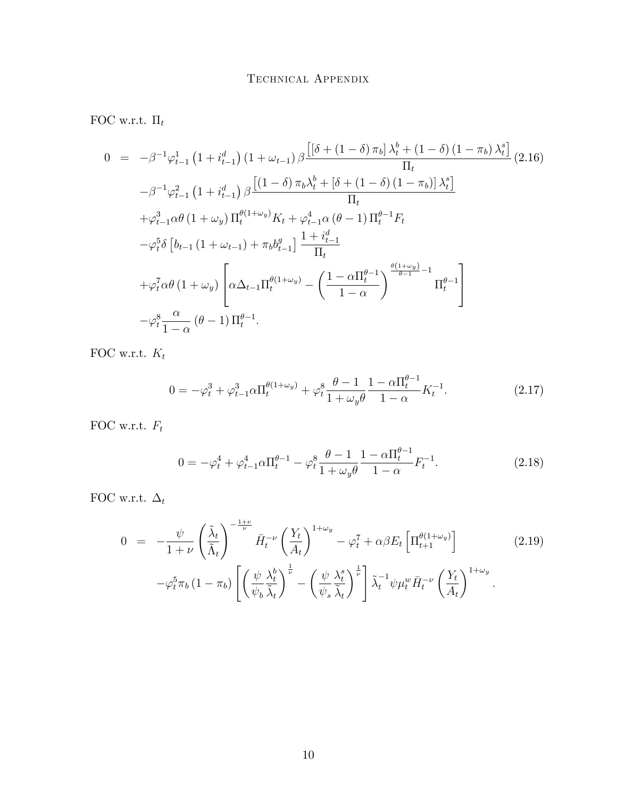FOC w.r.t.  $\Pi_t$ 

$$
0 = -\beta^{-1} \varphi_{t-1}^{1} (1 + i_{t-1}^{d}) (1 + \omega_{t-1}) \beta \frac{\left[ (\delta + (1 - \delta) \pi_{b}) \lambda_{t}^{b} + (1 - \delta) (1 - \pi_{b}) \lambda_{t}^{s} \right]}{\Pi_{t}} (2.16)
$$
  
\n
$$
-\beta^{-1} \varphi_{t-1}^{2} (1 + i_{t-1}^{d}) \beta \frac{\left[ (1 - \delta) \pi_{b} \lambda_{t}^{b} + [\delta + (1 - \delta) (1 - \pi_{b})] \lambda_{t}^{s} \right]}{\Pi_{t}}
$$
  
\n
$$
+ \varphi_{t-1}^{3} \alpha \theta (1 + \omega_{y}) \Pi_{t}^{\theta(1 + \omega_{y})} K_{t} + \varphi_{t-1}^{4} \alpha (\theta - 1) \Pi_{t}^{\theta - 1} F_{t}
$$
  
\n
$$
- \varphi_{t}^{5} \delta \left[ b_{t-1} (1 + \omega_{t-1}) + \pi_{b} b_{t-1}^{g} \right] \frac{1 + i_{t-1}^{d}}{\Pi_{t}}
$$
  
\n
$$
+ \varphi_{t}^{7} \alpha \theta (1 + \omega_{y}) \left[ \alpha \Delta_{t-1} \Pi_{t}^{\theta(1 + \omega_{y})} - \left( \frac{1 - \alpha \Pi_{t}^{\theta - 1}}{1 - \alpha} \right)^{\frac{\theta(1 + \omega_{y})}{\theta - 1} - 1} \Pi_{t}^{\theta - 1} \right]
$$
  
\n
$$
- \varphi_{t}^{8} \frac{\alpha}{1 - \alpha} (\theta - 1) \Pi_{t}^{\theta - 1}.
$$

FOC w.r.t.  $\mathcal{K}_t$ 

$$
0 = -\varphi_t^3 + \varphi_{t-1}^3 \alpha \Pi_t^{\theta(1+\omega_y)} + \varphi_t^8 \frac{\theta - 1}{1 + \omega_y \theta} \frac{1 - \alpha \Pi_t^{\theta - 1}}{1 - \alpha} K_t^{-1}.
$$
 (2.17)

FOC w.r.t.  $\mathcal{F}_t$ 

$$
0 = -\varphi_t^4 + \varphi_{t-1}^4 \alpha \Pi_t^{\theta - 1} - \varphi_t^8 \frac{\theta - 1}{1 + \omega_y \theta} \frac{1 - \alpha \Pi_t^{\theta - 1}}{1 - \alpha} F_t^{-1}.
$$
 (2.18)

FOC w.r.t.  $\Delta_t$ 

$$
0 = -\frac{\psi}{1+\nu} \left(\frac{\tilde{\lambda}_t}{\tilde{\Lambda}_t}\right)^{-\frac{1+\nu}{\nu}} \bar{H}_t^{-\nu} \left(\frac{Y_t}{A_t}\right)^{1+\omega_y} - \varphi_t^7 + \alpha \beta E_t \left[\Pi_{t+1}^{\theta(1+\omega_y)}\right] \tag{2.19}
$$

$$
-\varphi_t^5 \pi_b \left(1-\pi_b\right) \left[\left(\frac{\psi}{\psi_b} \frac{\lambda_t^b}{\tilde{\lambda}_t}\right)^{\frac{1}{\nu}} - \left(\frac{\psi}{\psi_s} \frac{\lambda_t^s}{\tilde{\lambda}_t}\right)^{\frac{1}{\nu}}\right] \tilde{\lambda}_t^{-1} \psi \mu_t^w \bar{H}_t^{-\nu} \left(\frac{Y_t}{A_t}\right)^{1+\omega_y}.
$$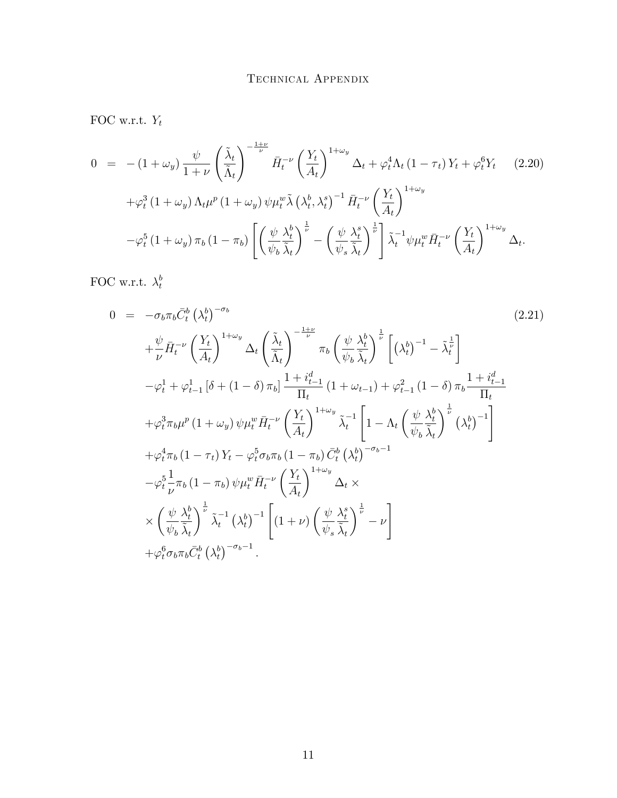FOC w.r.t.  $Y_t$ 

$$
0 = -(1 + \omega_y) \frac{\psi}{1 + \nu} \left(\frac{\tilde{\lambda}_t}{\tilde{\Lambda}_t}\right)^{-\frac{1 + \nu}{\nu}} \bar{H}_t^{-\nu} \left(\frac{Y_t}{A_t}\right)^{1 + \omega_y} \Delta_t + \varphi_t^4 \Lambda_t (1 - \tau_t) Y_t + \varphi_t^6 Y_t \quad (2.20)
$$
  
+
$$
\varphi_t^3 (1 + \omega_y) \Lambda_t \mu^p (1 + \omega_y) \psi_t^w \tilde{\lambda} \left(\lambda_t^b, \lambda_t^s\right)^{-1} \bar{H}_t^{-\nu} \left(\frac{Y_t}{A_t}\right)^{1 + \omega_y}
$$
  
-
$$
\varphi_t^5 (1 + \omega_y) \pi_b (1 - \pi_b) \left[ \left(\frac{\psi}{\psi_b} \frac{\lambda_t^b}{\tilde{\lambda}_t}\right)^{\frac{1}{\nu}} - \left(\frac{\psi}{\psi_s} \frac{\lambda_t^s}{\tilde{\lambda}_t}\right)^{\frac{1}{\nu}} \right] \tilde{\lambda}_t^{-1} \psi_t^w \bar{H}_t^{-\nu} \left(\frac{Y_t}{A_t}\right)^{1 + \omega_y} \Delta_t.
$$

FOC w.r.t.  $\lambda_t^b$ t

$$
0 = -\sigma_b \pi_b \bar{C}_t^b (\lambda_t^b)^{-\sigma_b}
$$
\n
$$
+ \frac{\psi}{\nu} \bar{H}_t^{-\nu} \left(\frac{Y_t}{A_t}\right)^{1+\omega_y} \Delta_t \left(\frac{\tilde{\lambda}_t}{\tilde{\lambda}_t}\right)^{-\frac{1+\nu}{\nu}} \pi_b \left(\frac{\psi}{\psi_b} \frac{\lambda_t^b}{\tilde{\lambda}_t}\right)^{\frac{1}{\nu}} \left[ (\lambda_t^b)^{-1} - \tilde{\lambda}_t^{\frac{1}{\nu}} \right]
$$
\n
$$
- \varphi_t^1 + \varphi_{t-1}^1 [\delta + (1-\delta)\pi_b] \frac{1 + i_{t-1}^d}{\Pi_t} (1 + \omega_{t-1}) + \varphi_{t-1}^2 (1 - \delta) \pi_b \frac{1 + i_{t-1}^d}{\Pi_t}
$$
\n
$$
+ \varphi_t^3 \pi_b \mu^p (1 + \omega_y) \psi \mu_t^w \bar{H}_t^{-\nu} \left(\frac{Y_t}{A_t}\right)^{1+\omega_y} \tilde{\lambda}_t^{-1} \left[ 1 - \Lambda_t \left(\frac{\psi}{\psi_b} \frac{\lambda_t^b}{\tilde{\lambda}_t}\right)^{\frac{1}{\nu}} (\lambda_t^b)^{-1} \right]
$$
\n
$$
+ \varphi_t^4 \pi_b (1 - \tau_t) Y_t - \varphi_t^5 \sigma_b \pi_b (1 - \pi_b) \bar{C}_t^b (\lambda_t^b)^{-\sigma_b - 1}
$$
\n
$$
- \varphi_t^5 \frac{1}{\nu} \pi_b (1 - \pi_b) \psi \mu_t^w \bar{H}_t^{-\nu} \left(\frac{Y_t}{A_t}\right)^{1+\omega_y} \Delta_t \times
$$
\n
$$
\times \left(\frac{\psi}{\psi_b} \frac{\lambda_t^b}{\tilde{\lambda}_t}\right)^{\frac{1}{\nu}} \tilde{\lambda}_t^{-1} (\lambda_t^b)^{-1} \left[ (1 + \nu) \left(\frac{\psi}{\psi_s} \frac{\lambda_t^s}{\tilde{\lambda}_t}\right)^{\frac{1}{\nu}} - \nu \right]
$$
\n
$$
+ \varphi_t^6 \sigma_b \pi_b \bar{C}_t^b (\lambda_t^b)^{-\sigma_b - 1}.
$$
\n(2.21)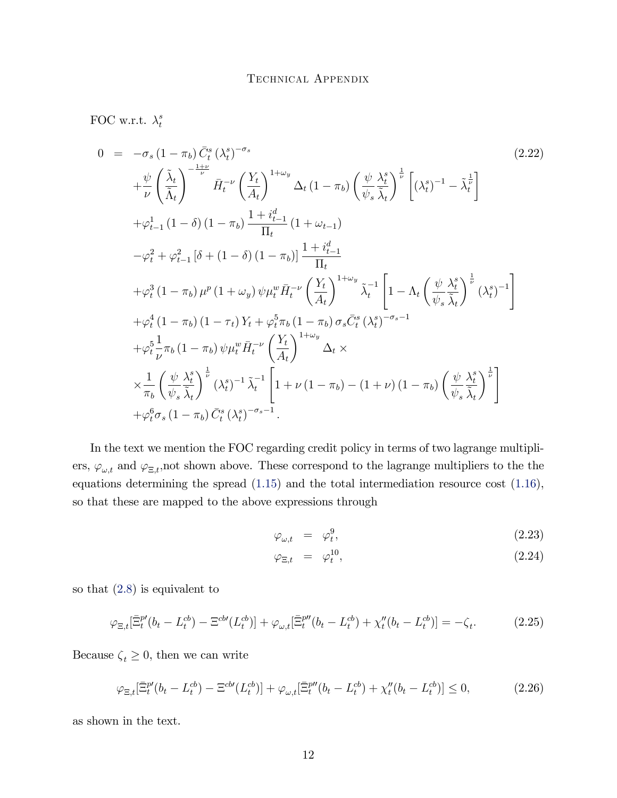FOC w.r.t.  $\lambda_t^s$ t

$$
0 = -\sigma_s (1 - \pi_b) \tilde{C}_t^s (\lambda_t^s)^{-\sigma_s}
$$
\n
$$
+ \frac{\psi}{\nu} \left( \frac{\tilde{\lambda}_t}{\tilde{\lambda}_t} \right)^{-\frac{1+\nu}{\nu}} \bar{H}_t^{-\nu} \left( \frac{Y_t}{A_t} \right)^{1+\omega_y} \Delta_t (1 - \pi_b) \left( \frac{\psi}{\psi_s} \frac{\lambda_t^s}{\tilde{\lambda}_t} \right)^{\frac{1}{\nu}} \left[ (\lambda_t^s)^{-1} - \tilde{\lambda}_t^{\frac{1}{\nu}} \right]
$$
\n
$$
+ \varphi_{t-1}^1 (1 - \delta) (1 - \pi_b) \frac{1 + i_{t-1}^d}{\Pi_t} (1 + \omega_{t-1})
$$
\n
$$
- \varphi_t^2 + \varphi_{t-1}^2 [\delta + (1 - \delta) (1 - \pi_b)] \frac{1 + i_{t-1}^d}{\Pi_t}
$$
\n
$$
+ \varphi_t^3 (1 - \pi_b) \mu^p (1 + \omega_y) \psi \mu_t^w \bar{H}_t^{-\nu} \left( \frac{Y_t}{A_t} \right)^{1+\omega_y} \tilde{\lambda}_t^{-1} \left[ 1 - \Lambda_t \left( \frac{\psi}{\psi_s} \frac{\lambda_t^s}{\tilde{\lambda}_t} \right)^{\frac{1}{\nu}} (\lambda_t^s)^{-1} \right]
$$
\n
$$
+ \varphi_t^4 (1 - \pi_b) (1 - \tau_t) Y_t + \varphi_t^5 \pi_b (1 - \pi_b) \sigma_s \bar{C}_t^s (\lambda_t^s)^{-\sigma_s - 1}
$$
\n
$$
+ \varphi_t^5 \frac{1}{\nu} \pi_b (1 - \pi_b) \psi \mu_t^w \bar{H}_t^{-\nu} \left( \frac{Y_t}{A_t} \right)^{1+\omega_y} \Delta_t \times
$$
\n
$$
\times \frac{1}{\pi_b} \left( \frac{\psi}{\psi_s} \frac{\lambda_t^s}{\tilde{\lambda}_t} \right)^{\frac{1}{\nu}} (\lambda_t^s)^{-1} \tilde{\lambda}_t^{-1} \left[ 1 + \nu (1 - \pi_b) - (1 + \nu) (1 - \pi_b) \left( \frac{\psi}{\psi_s} \frac{\lambda_t^s}{\tilde{\lambda}_t} \right)^{\frac{1}{\nu
$$

In the text we mention the FOC regarding credit policy in terms of two lagrange multipliers,  $\varphi_{\omega,t}$  and  $\varphi_{\Xi,t}$ , not shown above. These correspond to the lagrange multipliers to the the equations determining the spread [\(1.15\)](#page-4-5) and the total intermediation resource cost [\(1.16\)](#page-4-4), so that these are mapped to the above expressions through

$$
\varphi_{\omega,t} = \varphi_t^9, \tag{2.23}
$$

$$
\varphi_{\Xi,t} = \varphi_t^{10},\tag{2.24}
$$

so that [\(2.8\)](#page-8-0) is equivalent to

$$
\varphi_{\Xi,t}[\bar{\Xi}_t^{p}(b_t - L_t^{cb}) - \Xi^{cb}(L_t^{cb})] + \varphi_{\omega,t}[\bar{\Xi}_t^{p}(b_t - L_t^{cb}) + \chi_t''(b_t - L_t^{cb})] = -\zeta_t.
$$
 (2.25)

Because  $\zeta_t \geq 0$ , then we can write

$$
\varphi_{\Xi,t}[\bar{\Xi}_t^{p}(b_t - L_t^{cb}) - \Xi^{cb}(L_t^{cb})] + \varphi_{\omega,t}[\bar{\Xi}_t^{p}(b_t - L_t^{cb}) + \chi_t''(b_t - L_t^{cb})] \le 0,
$$
\n(2.26)

as shown in the text.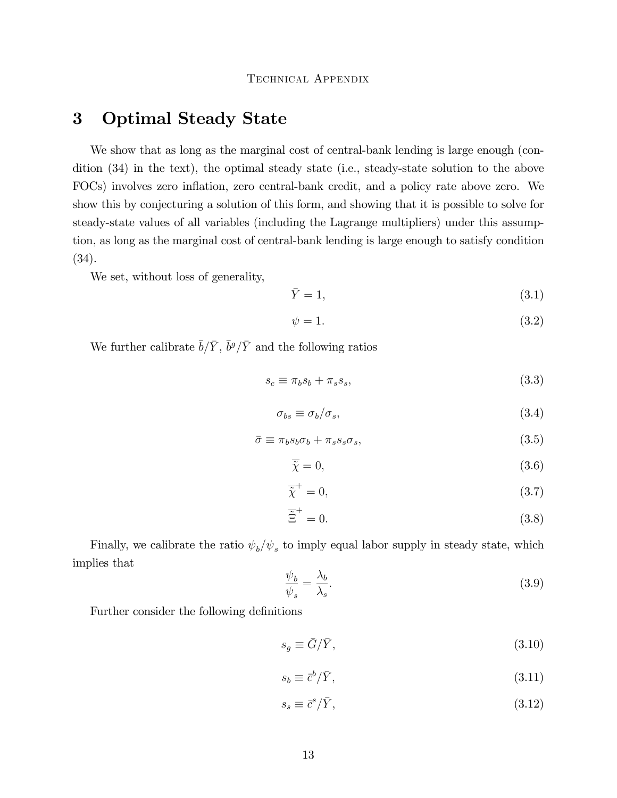# <span id="page-12-0"></span>3 Optimal Steady State

We show that as long as the marginal cost of central-bank lending is large enough (condition (34) in the text), the optimal steady state (i.e., steady-state solution to the above FOCs) involves zero inflation, zero central-bank credit, and a policy rate above zero. We show this by conjecturing a solution of this form, and showing that it is possible to solve for steady-state values of all variables (including the Lagrange multipliers) under this assumption, as long as the marginal cost of central-bank lending is large enough to satisfy condition (34).

We set, without loss of generality,

$$
\bar{Y} = 1,\tag{3.1}
$$

$$
\psi = 1. \tag{3.2}
$$

We further calibrate  $\bar{b}/\bar{Y}$ ,  $\bar{b}^g/\bar{Y}$  and the following ratios

$$
s_c \equiv \pi_b s_b + \pi_s s_s,\tag{3.3}
$$

$$
\sigma_{bs} \equiv \sigma_b / \sigma_s,\tag{3.4}
$$

$$
\bar{\sigma} \equiv \pi_b s_b \sigma_b + \pi_s s_s \sigma_s,\tag{3.5}
$$

$$
\overline{\tilde{\chi}} = 0,\tag{3.6}
$$

$$
\overline{\tilde{\chi}}^{+} = 0,\tag{3.7}
$$

$$
\overline{\tilde{\Xi}}^{+} = 0. \tag{3.8}
$$

Finally, we calibrate the ratio  $\psi_b/\psi_s$  to imply equal labor supply in steady state, which implies that

<span id="page-12-1"></span>
$$
\frac{\psi_b}{\psi_s} = \frac{\lambda_b}{\lambda_s}.\tag{3.9}
$$

Further consider the following definitions

$$
s_g \equiv \bar{G}/\bar{Y},\tag{3.10}
$$

$$
s_b \equiv \bar{c}^b / \bar{Y},\tag{3.11}
$$

$$
s_s \equiv \bar{c}^s / \bar{Y},\tag{3.12}
$$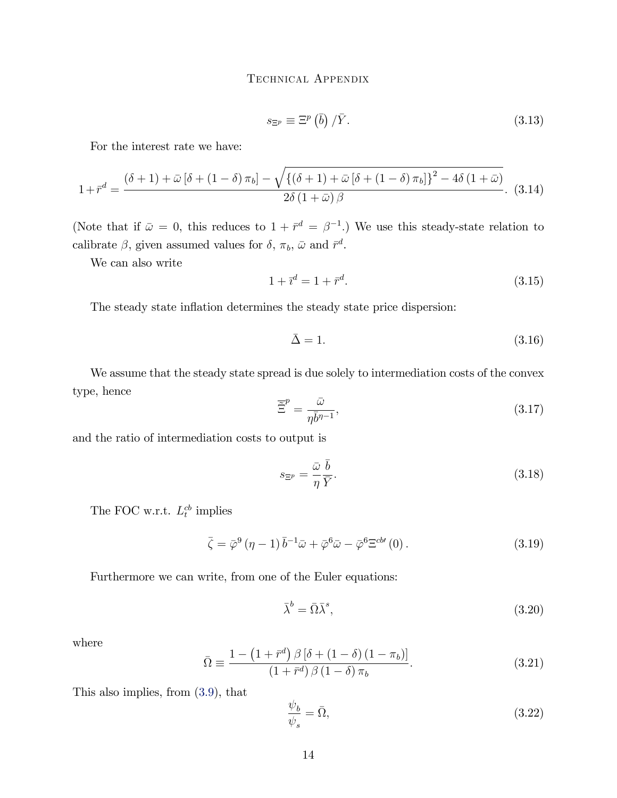$$
s_{\Xi^p} \equiv \Xi^p \left( \bar{b} \right) / \bar{Y} . \tag{3.13}
$$

For the interest rate we have:

$$
1 + \bar{r}^d = \frac{(\delta + 1) + \bar{\omega} \left[\delta + (1 - \delta) \pi_b\right] - \sqrt{\left\{(\delta + 1) + \bar{\omega} \left[\delta + (1 - \delta) \pi_b\right]\right\}^2 - 4\delta \left(1 + \bar{\omega}\right)}}{2\delta \left(1 + \bar{\omega}\right)\beta}.
$$
 (3.14)

(Note that if  $\bar{\omega} = 0$ , this reduces to  $1 + \bar{r}^d = \beta^{-1}$ .) We use this steady-state relation to calibrate  $\beta$ , given assumed values for  $\delta$ ,  $\pi_b$ ,  $\bar{\omega}$  and  $\bar{r}^d$ .

We can also write

$$
1 + \bar{\imath}^d = 1 + \bar{r}^d. \tag{3.15}
$$

The steady state inflation determines the steady state price dispersion:

$$
\bar{\Delta} = 1. \tag{3.16}
$$

We assume that the steady state spread is due solely to intermediation costs of the convex type, hence

$$
\overline{\tilde{\Xi}}^p = \frac{\bar{\omega}}{\eta \bar{b}^{n-1}},\tag{3.17}
$$

and the ratio of intermediation costs to output is

$$
s_{\Xi^p} = \frac{\bar{\omega}}{\eta} \frac{\bar{b}}{\bar{Y}}.\tag{3.18}
$$

The FOC w.r.t.  $L_t^{cb}$  implies

$$
\bar{\zeta} = \bar{\varphi}^9 (\eta - 1) \bar{b}^{-1} \bar{\omega} + \bar{\varphi}^6 \bar{\omega} - \bar{\varphi}^6 \Xi^{cb'} (0) . \qquad (3.19)
$$

Furthermore we can write, from one of the Euler equations:

$$
\bar{\lambda}^b = \bar{\Omega}\bar{\lambda}^s,\tag{3.20}
$$

where

$$
\bar{\Omega} \equiv \frac{1 - \left(1 + \bar{r}^d\right) \beta \left[\delta + \left(1 - \delta\right) \left(1 - \pi_b\right)\right]}{\left(1 + \bar{r}^d\right) \beta \left(1 - \delta\right) \pi_b}.\tag{3.21}
$$

This also implies, from [\(3.9\)](#page-12-1), that

$$
\frac{\psi_b}{\psi_s} = \bar{\Omega},\tag{3.22}
$$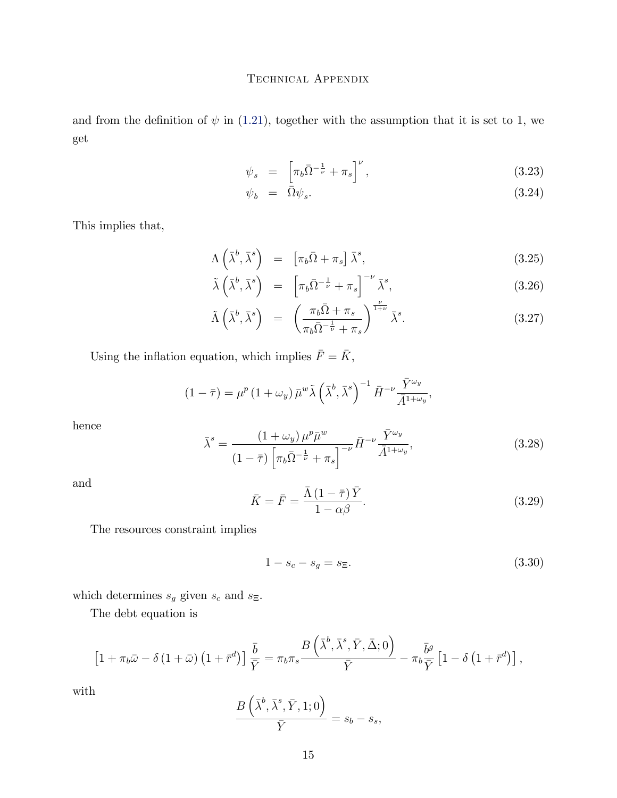and from the definition of  $\psi$  in [\(1.21\)](#page-4-6), together with the assumption that it is set to 1, we get

$$
\psi_s = \left[ \pi_b \bar{\Omega}^{-\frac{1}{\nu}} + \pi_s \right]^\nu, \tag{3.23}
$$

$$
\psi_b = \bar{\Omega}\psi_s. \tag{3.24}
$$

This implies that,

$$
\Lambda\left(\bar{\lambda}^b,\bar{\lambda}^s\right) = \left[\pi_b\bar{\Omega} + \pi_s\right]\bar{\lambda}^s, \tag{3.25}
$$

$$
\tilde{\lambda}\left(\bar{\lambda}^b,\bar{\lambda}^s\right) = \left[\pi_b\bar{\Omega}^{-\frac{1}{\nu}} + \pi_s\right]^{-\nu}\bar{\lambda}^s, \tag{3.26}
$$

$$
\tilde{\Lambda}\left(\bar{\lambda}^b,\bar{\lambda}^s\right) = \left(\frac{\pi_b\bar{\Omega} + \pi_s}{\pi_b\bar{\Omega}^{-\frac{1}{\nu}} + \pi_s}\right)^{\frac{\nu}{1+\nu}}\bar{\lambda}^s. \tag{3.27}
$$

Using the inflation equation, which implies  $\bar{F}=\bar{K},$ 

$$
(1-\bar{\tau}) = \mu^p (1+\omega_y) \bar{\mu}^w \tilde{\lambda} \left(\bar{\lambda}^b, \bar{\lambda}^s\right)^{-1} \bar{H}^{-\nu} \frac{\bar{Y}^{\omega_y}}{\bar{A}^{1+\omega_y}},
$$

hence

$$
\bar{\lambda}^s = \frac{\left(1+\omega_y\right)\mu^p \bar{\mu}^w}{\left(1-\bar{\tau}\right)\left[\pi_b \bar{\Omega}^{-\frac{1}{\nu}} + \pi_s\right]^{-\nu}} \bar{H}^{-\nu} \frac{\bar{Y}^{\omega_y}}{\bar{A}^{1+\omega_y}},\tag{3.28}
$$

and

$$
\bar{K} = \bar{F} = \frac{\bar{\Lambda} \left(1 - \bar{\tau}\right) \bar{Y}}{1 - \alpha \beta}.
$$
\n(3.29)

The resources constraint implies

$$
1 - s_c - s_g = s_{\Xi}.\tag{3.30}
$$

which determines  $s_g$  given  $s_c$  and  $s_\Xi.$ 

The debt equation is

$$
\left[1+\pi_b\bar{\omega}-\delta\left(1+\bar{\omega}\right)\left(1+\bar{r}^d\right)\right]\frac{\bar{b}}{\bar{Y}}=\pi_b\pi_s\frac{B\left(\bar{\lambda}^b,\bar{\lambda}^s,\bar{Y},\bar{\Delta};0\right)}{\bar{Y}}-\pi_b\frac{\bar{b}^g}{\bar{Y}}\left[1-\delta\left(1+\bar{r}^d\right)\right],
$$

with

$$
\frac{B\left(\bar{\lambda}^b,\bar{\lambda}^s,\bar{Y},1;0\right)}{\bar{Y}}=s_b-s_s,
$$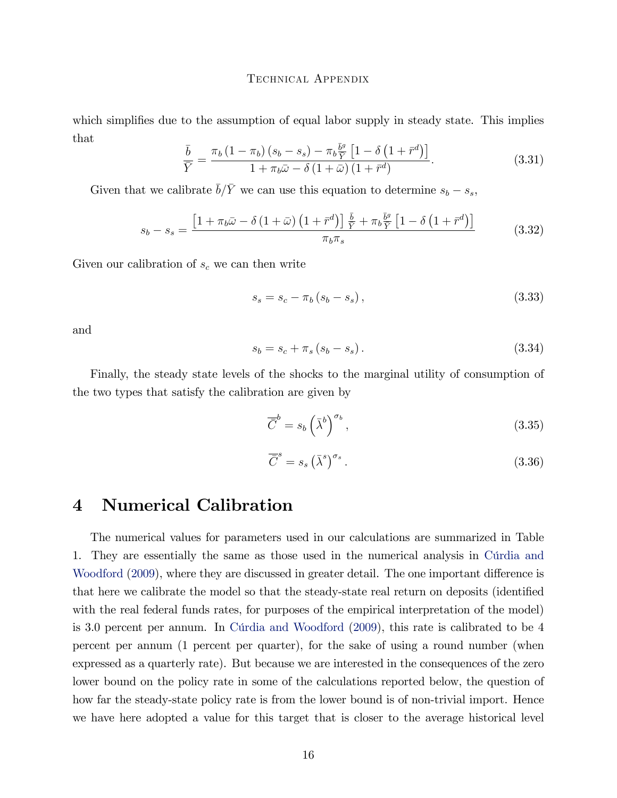which simplifies due to the assumption of equal labor supply in steady state. This implies that

$$
\frac{\bar{b}}{\bar{Y}} = \frac{\pi_b \left(1 - \pi_b\right) \left(s_b - s_s\right) - \pi_b \frac{\bar{b}^g}{\bar{Y}} \left[1 - \delta \left(1 + \bar{r}^d\right)\right]}{1 + \pi_b \bar{\omega} - \delta \left(1 + \bar{\omega}\right) \left(1 + \bar{r}^d\right)}.
$$
\n(3.31)

Given that we calibrate  $\bar{b}/\bar{Y}$  we can use this equation to determine  $s_b - s_s$ ,

$$
s_b - s_s = \frac{\left[1 + \pi_b \bar{\omega} - \delta \left(1 + \bar{\omega}\right) \left(1 + \bar{r}^d\right)\right] \frac{\bar{b}}{\bar{Y}} + \pi_b \frac{\bar{b}^g}{\bar{Y}} \left[1 - \delta \left(1 + \bar{r}^d\right)\right]}{\pi_b \pi_s} \tag{3.32}
$$

Given our calibration of  $s_c$  we can then write

$$
s_s = s_c - \pi_b (s_b - s_s), \qquad (3.33)
$$

and

$$
s_b = s_c + \pi_s (s_b - s_s). \tag{3.34}
$$

Finally, the steady state levels of the shocks to the marginal utility of consumption of the two types that satisfy the calibration are given by

$$
\overline{\overline{C}}^b = s_b \left(\overline{\lambda}^b\right)^{\sigma_b},\tag{3.35}
$$

$$
\overline{\overline{C}}^s = s_s \left(\overline{\lambda}^s\right)^{\sigma_s}.\tag{3.36}
$$

# <span id="page-15-0"></span>4 Numerical Calibration

The numerical values for parameters used in our calculations are summarized in Table 1. They are essentially the same as those used in the numerical analysis in Curdia and [Woodford](#page-20-0) [\(2009\)](#page-20-0), where they are discussed in greater detail. The one important difference is that here we calibrate the model so that the steady-state real return on deposits (identified with the real federal funds rates, for purposes of the empirical interpretation of the model) is 3.0 percent per annum. In Curdia and Woodford [\(2009\)](#page-20-0), this rate is calibrated to be 4 percent per annum (1 percent per quarter), for the sake of using a round number (when expressed as a quarterly rate). But because we are interested in the consequences of the zero lower bound on the policy rate in some of the calculations reported below, the question of how far the steady-state policy rate is from the lower bound is of non-trivial import. Hence we have here adopted a value for this target that is closer to the average historical level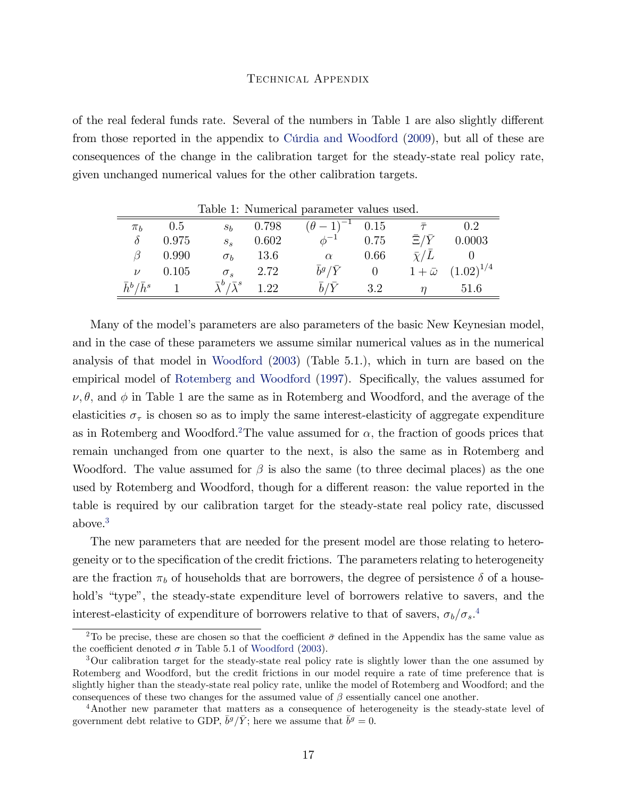of the real federal funds rate. Several of the numbers in Table 1 are also slightly different from those reported in the appendix to Curdia and Woodford [\(2009\)](#page-20-0), but all of these are consequences of the change in the calibration target for the steady-state real policy rate, given unchanged numerical values for the other calibration targets.

|                         | $\pi_b$ 0.5 |                                        |                 | $s_b$ 0.798 $(\theta - 1)^{-1}$ 0.15 |                | $\bar{\tau}$         | 0.2                               |
|-------------------------|-------------|----------------------------------------|-----------------|--------------------------------------|----------------|----------------------|-----------------------------------|
| $\delta$                | 0.975       | $S_{S}$                                | 0.602           | $\phi^{-1}$ 0.75                     |                |                      | $\bar{\Xi}/\bar{Y}$ 0.0003        |
| $\beta$                 | 0.990       |                                        | $\sigma_b$ 13.6 | $\alpha$                             | 0.66           | $\bar{\chi}/\bar{L}$ | $\hspace{0.6cm}0$                 |
|                         | $\nu$ 0.105 | $\sigma_s$                             | 2.72            | $\bar{b}^g/\bar{Y}$                  | $\overline{0}$ |                      | $1 + \bar{\omega}$ $(1.02)^{1/4}$ |
| $\bar{h}^b/\bar{h}^s$ 1 |             | $\bar{\lambda}^b/\bar{\lambda}^s$ 1.22 |                 | $\bar{b}/\bar{Y}$                    | 3.2            | $\eta$               | 51.6                              |

Table 1: Numerical parameter values used.

Many of the modelís parameters are also parameters of the basic New Keynesian model, and in the case of these parameters we assume similar numerical values as in the numerical analysis of that model in [Woodford](#page-20-1) [\(2003\)](#page-20-1) (Table 5.1.), which in turn are based on the empirical model of [Rotemberg and Woodford](#page-20-2) [\(1997\)](#page-20-2). Specifically, the values assumed for  $\nu, \theta$ , and  $\phi$  in Table 1 are the same as in Rotemberg and Woodford, and the average of the elasticities  $\sigma_{\tau}$  is chosen so as to imply the same interest-elasticity of aggregate expenditure as in Rotemberg and Woodford.<sup>[2](#page-0-1)</sup>The value assumed for  $\alpha$ , the fraction of goods prices that remain unchanged from one quarter to the next, is also the same as in Rotemberg and Woodford. The value assumed for  $\beta$  is also the same (to three decimal places) as the one used by Rotemberg and Woodford, though for a different reason: the value reported in the table is required by our calibration target for the steady-state real policy rate, discussed above.[3](#page-0-1)

The new parameters that are needed for the present model are those relating to heterogeneity or to the specification of the credit frictions. The parameters relating to heterogeneity are the fraction  $\pi_b$  of households that are borrowers, the degree of persistence  $\delta$  of a household's "type", the steady-state expenditure level of borrowers relative to savers, and the interest-elasticity of expenditure of borrowers relative to that of savers,  $\sigma_b/\sigma_s$ .<sup>[4](#page-0-1)</sup>

<sup>&</sup>lt;sup>2</sup>To be precise, these are chosen so that the coefficient  $\bar{\sigma}$  defined in the Appendix has the same value as the coefficient denoted  $\sigma$  in Table 5.1 of [Woodford](#page-20-1) [\(2003\)](#page-20-1).

<sup>&</sup>lt;sup>3</sup>Our calibration target for the steady-state real policy rate is slightly lower than the one assumed by Rotemberg and Woodford, but the credit frictions in our model require a rate of time preference that is slightly higher than the steady-state real policy rate, unlike the model of Rotemberg and Woodford; and the consequences of these two changes for the assumed value of  $\beta$  essentially cancel one another.

<sup>4</sup>Another new parameter that matters as a consequence of heterogeneity is the steady-state level of government debt relative to GDP,  $\bar{b}^g/\bar{Y}$ ; here we assume that  $\bar{b}^g = 0$ .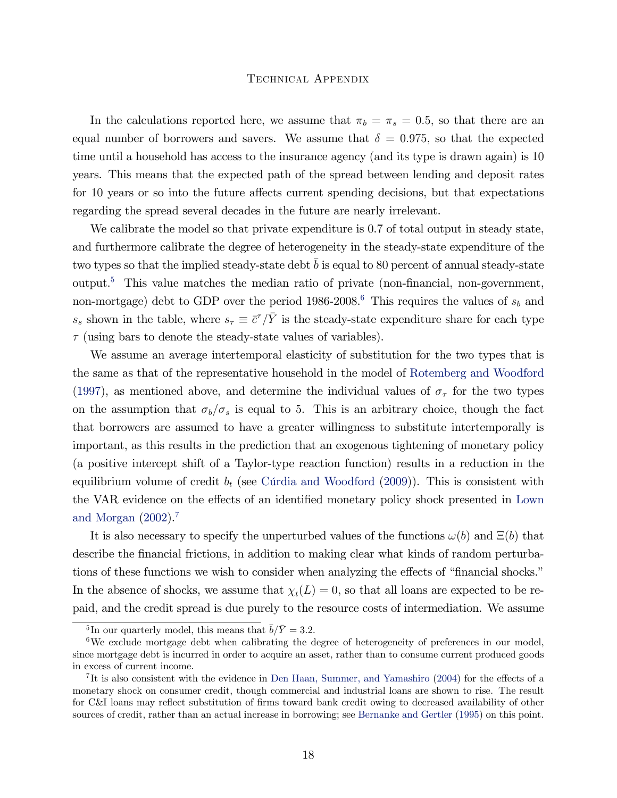In the calculations reported here, we assume that  $\pi_b = \pi_s = 0.5$ , so that there are an equal number of borrowers and savers. We assume that  $\delta = 0.975$ , so that the expected time until a household has access to the insurance agency (and its type is drawn again) is 10 years. This means that the expected path of the spread between lending and deposit rates for 10 years or so into the future affects current spending decisions, but that expectations regarding the spread several decades in the future are nearly irrelevant.

We calibrate the model so that private expenditure is 0.7 of total output in steady state, and furthermore calibrate the degree of heterogeneity in the steady-state expenditure of the two types so that the implied steady-state debt b is equal to 80 percent of annual steady-state output.<sup>[5](#page-0-1)</sup> This value matches the median ratio of private (non-financial, non-government, non-mortgage) debt to GDP over the period 198[6](#page-0-1)-2008.<sup>6</sup> This requires the values of  $s_b$  and  $s_s$  shown in the table, where  $s_\tau \equiv \bar{c}^\tau / \bar{Y}$  is the steady-state expenditure share for each type  $\tau$  (using bars to denote the steady-state values of variables).

We assume an average intertemporal elasticity of substitution for the two types that is the same as that of the representative household in the model of [Rotemberg and Woodford](#page-20-2) [\(1997\)](#page-20-2), as mentioned above, and determine the individual values of  $\sigma_{\tau}$  for the two types on the assumption that  $\sigma_b/\sigma_s$  is equal to 5. This is an arbitrary choice, though the fact that borrowers are assumed to have a greater willingness to substitute intertemporally is important, as this results in the prediction that an exogenous tightening of monetary policy (a positive intercept shift of a Taylor-type reaction function) results in a reduction in the equilibrium volume of credit  $b_t$  (see Cúrdia and Woodford [\(2009\)](#page-20-0)). This is consistent with the VAR evidence on the effects of an identified monetary policy shock presented in [Lown](#page-20-3) [and Morgan](#page-20-3) [\(2002\)](#page-20-3).[7](#page-0-1)

It is also necessary to specify the unperturbed values of the functions  $\omega(b)$  and  $\Xi(b)$  that describe the financial frictions, in addition to making clear what kinds of random perturbations of these functions we wish to consider when analyzing the effects of "financial shocks." In the absence of shocks, we assume that  $\chi_t(L) = 0$ , so that all loans are expected to be repaid, and the credit spread is due purely to the resource costs of intermediation. We assume

<sup>&</sup>lt;sup>5</sup>In our quarterly model, this means that  $\bar{b}/\bar{Y} = 3.2$ .

<sup>&</sup>lt;sup>6</sup>We exclude mortgage debt when calibrating the degree of heterogeneity of preferences in our model, since mortgage debt is incurred in order to acquire an asset, rather than to consume current produced goods in excess of current income.

<sup>&</sup>lt;sup>7</sup>It is also consistent with the evidence in [Den Haan, Summer, and Yamashiro](#page-20-4)  $(2004)$  for the effects of a monetary shock on consumer credit, though commercial and industrial loans are shown to rise. The result for C&I loans may reflect substitution of firms toward bank credit owing to decreased availability of other sources of credit, rather than an actual increase in borrowing; see [Bernanke and Gertler](#page-20-5) [\(1995\)](#page-20-5) on this point.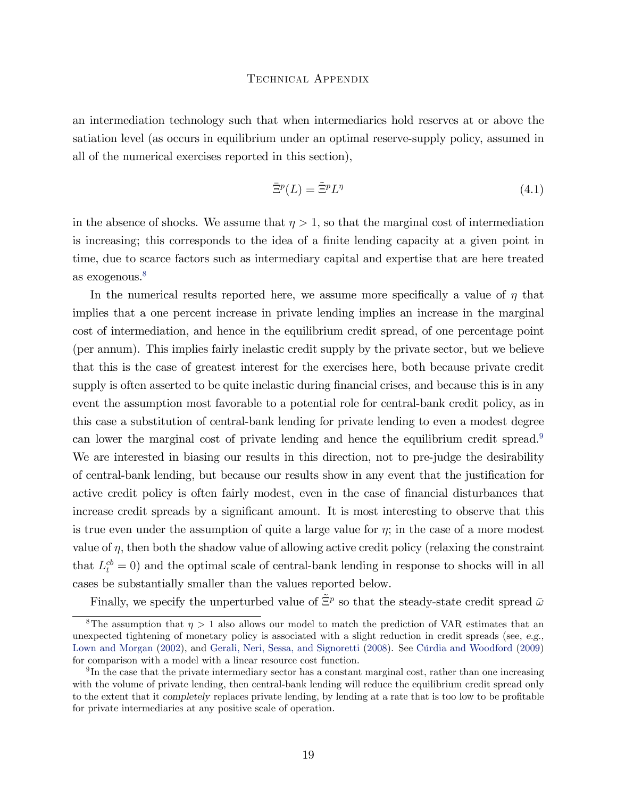an intermediation technology such that when intermediaries hold reserves at or above the satiation level (as occurs in equilibrium under an optimal reserve-supply policy, assumed in all of the numerical exercises reported in this section),

$$
\bar{\Xi}^p(L) = \tilde{\Xi}^p L^\eta \tag{4.1}
$$

in the absence of shocks. We assume that  $\eta > 1$ , so that the marginal cost of intermediation is increasing; this corresponds to the idea of a finite lending capacity at a given point in time, due to scarce factors such as intermediary capital and expertise that are here treated as exogenous.<sup>[8](#page-0-1)</sup>

In the numerical results reported here, we assume more specifically a value of  $\eta$  that implies that a one percent increase in private lending implies an increase in the marginal cost of intermediation, and hence in the equilibrium credit spread, of one percentage point (per annum). This implies fairly inelastic credit supply by the private sector, but we believe that this is the case of greatest interest for the exercises here, both because private credit supply is often asserted to be quite inelastic during financial crises, and because this is in any event the assumption most favorable to a potential role for central-bank credit policy, as in this case a substitution of central-bank lending for private lending to even a modest degree can lower the marginal cost of private lending and hence the equilibrium credit spread.<sup>[9](#page-0-1)</sup> We are interested in biasing our results in this direction, not to pre-judge the desirability of central-bank lending, but because our results show in any event that the justification for active credit policy is often fairly modest, even in the case of financial disturbances that increase credit spreads by a significant amount. It is most interesting to observe that this is true even under the assumption of quite a large value for  $\eta$ ; in the case of a more modest value of  $\eta$ , then both the shadow value of allowing active credit policy (relaxing the constraint that  $L_t^{cb} = 0$  and the optimal scale of central-bank lending in response to shocks will in all cases be substantially smaller than the values reported below.

Finally, we specify the unperturbed value of  $\tilde{\Xi}^p$  so that the steady-state credit spread  $\bar{\omega}$ 

<sup>&</sup>lt;sup>8</sup>The assumption that  $\eta > 1$  also allows our model to match the prediction of VAR estimates that an unexpected tightening of monetary policy is associated with a slight reduction in credit spreads (see, e.g., [Lown and Morgan](#page-20-3) [\(2002\)](#page-20-3), and [Gerali, Neri, Sessa, and Signoretti](#page-20-6) [\(2008\)](#page-20-6). See Cúrdia and Woodford [\(2009\)](#page-20-0) for comparison with a model with a linear resource cost function.

 $9\text{In the case that the private intermediary sector has a constant marginal cost, rather than one increasing.}$ with the volume of private lending, then central-bank lending will reduce the equilibrium credit spread only to the extent that it completely replaces private lending, by lending at a rate that is too low to be profitable for private intermediaries at any positive scale of operation.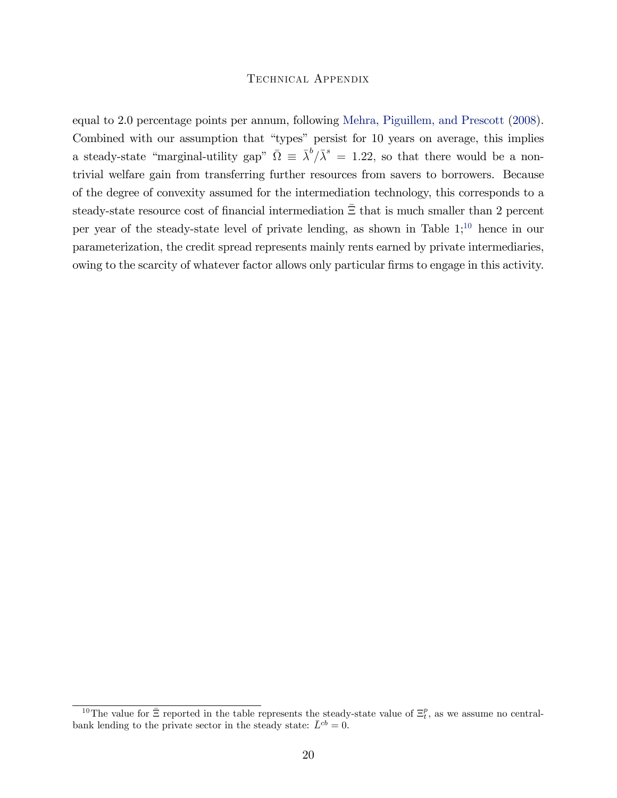equal to 2.0 percentage points per annum, following [Mehra, Piguillem, and Prescott](#page-20-7) [\(2008\)](#page-20-7). Combined with our assumption that "types" persist for 10 years on average, this implies a steady-state "marginal-utility gap"  $\overline{\Omega} \equiv \overline{\lambda}^b / \overline{\lambda}^s = 1.22$ , so that there would be a nontrivial welfare gain from transferring further resources from savers to borrowers. Because of the degree of convexity assumed for the intermediation technology, this corresponds to a steady-state resource cost of financial intermediation  $\bar{\Xi}$  that is much smaller than 2 percent per year of the steady-state level of private lending, as shown in Table  $1;^{10}$  $1;^{10}$  $1;^{10}$  hence in our parameterization, the credit spread represents mainly rents earned by private intermediaries, owing to the scarcity of whatever factor allows only particular firms to engage in this activity.

<sup>&</sup>lt;sup>10</sup>The value for  $\bar{\Xi}$  reported in the table represents the steady-state value of  $\Xi_t^p$ , as we assume no centralbank lending to the private sector in the steady state:  $\bar{L}^{cb} = 0$ .